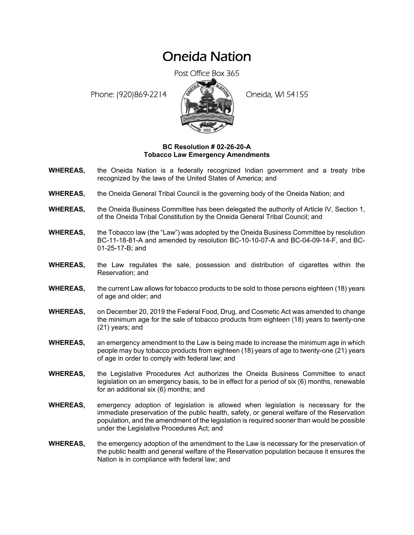## Oneida Nation

Post Office Box 365

Phone: (920)869-2214 (8 April 2) Oneida, WI 54155



## **BC Resolution # 02-26-20-A Tobacco Law Emergency Amendments**

- **WHEREAS,** the Oneida Nation is a federally recognized Indian government and a treaty tribe recognized by the laws of the United States of America; and
- **WHEREAS,** the Oneida General Tribal Council is the governing body of the Oneida Nation; and
- **WHEREAS,** the Oneida Business Committee has been delegated the authority of Article IV, Section 1, of the Oneida Tribal Constitution by the Oneida General Tribal Council; and
- **WHEREAS,** the Tobacco law (the "Law") was adopted by the Oneida Business Committee by resolution BC-11-18-81-A and amended by resolution BC-10-10-07-A and BC-04-09-14-F, and BC-01-25-17-B; and
- **WHEREAS,** the Law regulates the sale, possession and distribution of cigarettes within the Reservation; and
- **WHEREAS,** the current Law allows for tobacco products to be sold to those persons eighteen (18) years of age and older; and
- **WHEREAS,** on December 20, 2019 the Federal Food, Drug, and Cosmetic Act was amended to change the minimum age for the sale of tobacco products from eighteen (18) years to twenty-one (21) years; and
- **WHEREAS,** an emergency amendment to the Law is being made to increase the minimum age in which people may buy tobacco products from eighteen (18) years of age to twenty-one (21) years of age in order to comply with federal law; and
- **WHEREAS,** the Legislative Procedures Act authorizes the Oneida Business Committee to enact legislation on an emergency basis, to be in effect for a period of six (6) months, renewable for an additional six (6) months; and
- **WHEREAS,** emergency adoption of legislation is allowed when legislation is necessary for the immediate preservation of the public health, safety, or general welfare of the Reservation population, and the amendment of the legislation is required sooner than would be possible under the Legislative Procedures Act; and
- **WHEREAS,** the emergency adoption of the amendment to the Law is necessary for the preservation of the public health and general welfare of the Reservation population because it ensures the Nation is in compliance with federal law; and